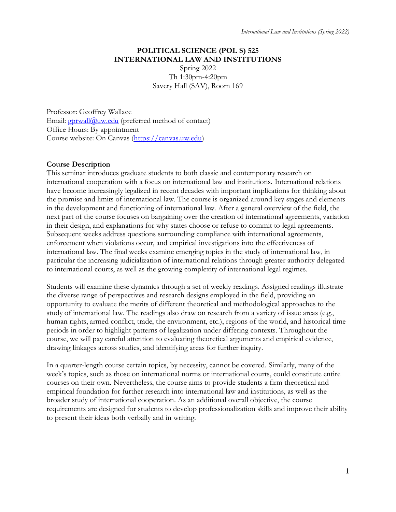# **POLITICAL SCIENCE (POL S) 525 INTERNATIONAL LAW AND INSTITUTIONS**

Spring 2022 Th 1:30pm-4:20pm Savery Hall (SAV), Room 169

Professor: Geoffrey Wallace Email:  $gprwall@uw.edu$  (preferred method of contact) Office Hours: By appointment Course website: On Canvas [\(https://canvas.uw.edu\)](https://canvas.uw.edu/)

# **Course Description**

This seminar introduces graduate students to both classic and contemporary research on international cooperation with a focus on international law and institutions. International relations have become increasingly legalized in recent decades with important implications for thinking about the promise and limits of international law. The course is organized around key stages and elements in the development and functioning of international law. After a general overview of the field, the next part of the course focuses on bargaining over the creation of international agreements, variation in their design, and explanations for why states choose or refuse to commit to legal agreements. Subsequent weeks address questions surrounding compliance with international agreements, enforcement when violations occur, and empirical investigations into the effectiveness of international law. The final weeks examine emerging topics in the study of international law, in particular the increasing judicialization of international relations through greater authority delegated to international courts, as well as the growing complexity of international legal regimes.

Students will examine these dynamics through a set of weekly readings. Assigned readings illustrate the diverse range of perspectives and research designs employed in the field, providing an opportunity to evaluate the merits of different theoretical and methodological approaches to the study of international law. The readings also draw on research from a variety of issue areas (e.g., human rights, armed conflict, trade, the environment, etc.), regions of the world, and historical time periods in order to highlight patterns of legalization under differing contexts. Throughout the course, we will pay careful attention to evaluating theoretical arguments and empirical evidence, drawing linkages across studies, and identifying areas for further inquiry.

In a quarter-length course certain topics, by necessity, cannot be covered. Similarly, many of the week's topics, such as those on international norms or international courts, could constitute entire courses on their own. Nevertheless, the course aims to provide students a firm theoretical and empirical foundation for further research into international law and institutions, as well as the broader study of international cooperation. As an additional overall objective, the course requirements are designed for students to develop professionalization skills and improve their ability to present their ideas both verbally and in writing.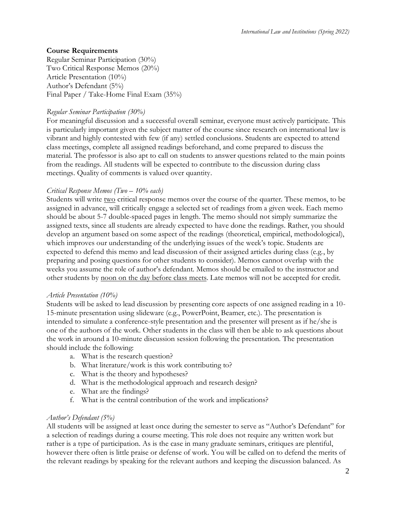## **Course Requirements**

Regular Seminar Participation (30%) Two Critical Response Memos (20%) Article Presentation (10%) Author's Defendant (5%) Final Paper / Take-Home Final Exam (35%)

#### *Regular Seminar Participation (30%)*

For meaningful discussion and a successful overall seminar, everyone must actively participate. This is particularly important given the subject matter of the course since research on international law is vibrant and highly contested with few (if any) settled conclusions. Students are expected to attend class meetings, complete all assigned readings beforehand, and come prepared to discuss the material. The professor is also apt to call on students to answer questions related to the main points from the readings. All students will be expected to contribute to the discussion during class meetings. Quality of comments is valued over quantity.

#### *Critical Response Memos (Two – 10% each)*

Students will write two critical response memos over the course of the quarter. These memos, to be assigned in advance, will critically engage a selected set of readings from a given week. Each memo should be about 5-7 double-spaced pages in length. The memo should not simply summarize the assigned texts, since all students are already expected to have done the readings. Rather, you should develop an argument based on some aspect of the readings (theoretical, empirical, methodological), which improves our understanding of the underlying issues of the week's topic. Students are expected to defend this memo and lead discussion of their assigned articles during class (e.g., by preparing and posing questions for other students to consider). Memos cannot overlap with the weeks you assume the role of author's defendant. Memos should be emailed to the instructor and other students by noon on the day before class meets. Late memos will not be accepted for credit.

#### *Article Presentation (10%)*

Students will be asked to lead discussion by presenting core aspects of one assigned reading in a 10- 15-minute presentation using slideware (e.g., PowerPoint, Beamer, etc.). The presentation is intended to simulate a conference-style presentation and the presenter will present as if he/she is one of the authors of the work. Other students in the class will then be able to ask questions about the work in around a 10-minute discussion session following the presentation. The presentation should include the following:

- a. What is the research question?
- b. What literature/work is this work contributing to?
- c. What is the theory and hypotheses?
- d. What is the methodological approach and research design?
- e. What are the findings?
- f. What is the central contribution of the work and implications?

#### *Author's Defendant (5%)*

All students will be assigned at least once during the semester to serve as "Author's Defendant" for a selection of readings during a course meeting. This role does not require any written work but rather is a type of participation. As is the case in many graduate seminars, critiques are plentiful, however there often is little praise or defense of work. You will be called on to defend the merits of the relevant readings by speaking for the relevant authors and keeping the discussion balanced. As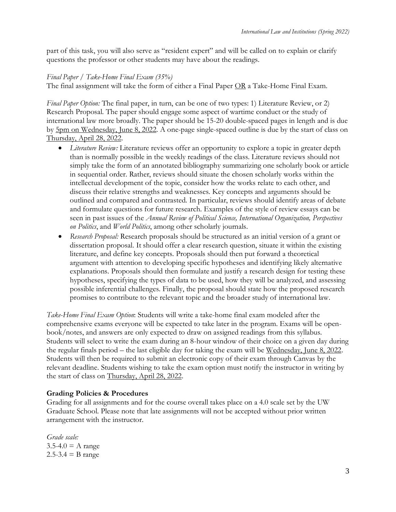part of this task, you will also serve as "resident expert" and will be called on to explain or clarify questions the professor or other students may have about the readings.

# *Final Paper / Take-Home Final Exam (35%)*

The final assignment will take the form of either a Final Paper OR a Take-Home Final Exam.

*Final Paper Option:* The final paper, in turn, can be one of two types: 1) Literature Review, or 2) Research Proposal. The paper should engage some aspect of wartime conduct or the study of international law more broadly. The paper should be 15-20 double-spaced pages in length and is due by 5pm on Wednesday, June 8, 2022. A one-page single-spaced outline is due by the start of class on Thursday, April 28, 2022.

- *Literature Review: Literature reviews offer an opportunity to explore a topic in greater depth* than is normally possible in the weekly readings of the class. Literature reviews should not simply take the form of an annotated bibliography summarizing one scholarly book or article in sequential order. Rather, reviews should situate the chosen scholarly works within the intellectual development of the topic, consider how the works relate to each other, and discuss their relative strengths and weaknesses. Key concepts and arguments should be outlined and compared and contrasted. In particular, reviews should identify areas of debate and formulate questions for future research. Examples of the style of review essays can be seen in past issues of the *Annual Review of Political Science, International Organization, Perspectives on Politics*, and *World Politics*, among other scholarly journals.
- *Research Proposal:* Research proposals should be structured as an initial version of a grant or dissertation proposal. It should offer a clear research question, situate it within the existing literature, and define key concepts. Proposals should then put forward a theoretical argument with attention to developing specific hypotheses and identifying likely alternative explanations. Proposals should then formulate and justify a research design for testing these hypotheses, specifying the types of data to be used, how they will be analyzed, and assessing possible inferential challenges. Finally, the proposal should state how the proposed research promises to contribute to the relevant topic and the broader study of international law.

*Take-Home Final Exam Option*: Students will write a take-home final exam modeled after the comprehensive exams everyone will be expected to take later in the program. Exams will be openbook/notes, and answers are only expected to draw on assigned readings from this syllabus. Students will select to write the exam during an 8-hour window of their choice on a given day during the regular finals period – the last eligible day for taking the exam will be Wednesday, June 8, 2022. Students will then be required to submit an electronic copy of their exam through Canvas by the relevant deadline. Students wishing to take the exam option must notify the instructor in writing by the start of class on Thursday, April 28, 2022.

# **Grading Policies & Procedures**

Grading for all assignments and for the course overall takes place on a 4.0 scale set by the UW Graduate School. Please note that late assignments will not be accepted without prior written arrangement with the instructor.

*Grade scale:*   $3.5-4.0 = A$  range  $2.5 - 3.4 = B$  range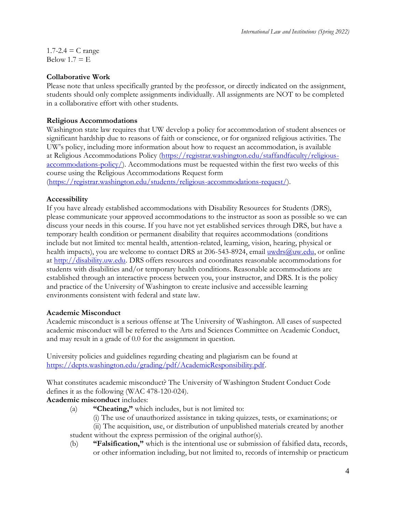$1.7 - 2.4 = C$  range Below  $1.7 = E$ 

## **Collaborative Work**

Please note that unless specifically granted by the professor, or directly indicated on the assignment, students should only complete assignments individually. All assignments are NOT to be completed in a collaborative effort with other students.

## **Religious Accommodations**

Washington state law requires that UW develop a policy for accommodation of student absences or significant hardship due to reasons of faith or conscience, or for organized religious activities. The UW's policy, including more information about how to request an accommodation, is available at Religious Accommodations Policy [\(https://registrar.washington.edu/staffandfaculty/religious](https://registrar.washington.edu/staffandfaculty/religious-accommodations-policy/)[accommodations-policy/\)](https://registrar.washington.edu/staffandfaculty/religious-accommodations-policy/). Accommodations must be requested within the first two weeks of this course using the Religious Accommodations Request form

[\(https://registrar.washington.edu/students/religious-accommodations-request/\)](https://registrar.washington.edu/students/religious-accommodations-request/).

## **Accessibility**

If you have already established accommodations with Disability Resources for Students (DRS), please communicate your approved accommodations to the instructor as soon as possible so we can discuss your needs in this course. If you have not yet established services through DRS, but have a temporary health condition or permanent disability that requires accommodations (conditions include but not limited to: mental health, attention-related, learning, vision, hearing, physical or health impacts), you are welcome to contact DRS at 206-543-8924, email  $uwdrs@uw.edu$ , or online</u> at [http://disability.uw.edu.](http://disability.uw.edu/) DRS offers resources and coordinates reasonable accommodations for students with disabilities and/or temporary health conditions. Reasonable accommodations are established through an interactive process between you, your instructor, and DRS. It is the policy and practice of the University of Washington to create inclusive and accessible learning environments consistent with federal and state law.

#### **Academic Misconduct**

Academic misconduct is a serious offense at The University of Washington. All cases of suspected academic misconduct will be referred to the Arts and Sciences Committee on Academic Conduct, and may result in a grade of 0.0 for the assignment in question.

University policies and guidelines regarding cheating and plagiarism can be found at [https://depts.washington.edu/grading/pdf/AcademicResponsibility.pdf.](https://depts.washington.edu/grading/pdf/AcademicResponsibility.pdf)

What constitutes academic misconduct? The University of Washington Student Conduct Code defines it as the following (WAC 478-120-024).

# **Academic misconduct** includes:

- (a) **"Cheating,"** which includes, but is not limited to:
	- (i) The use of unauthorized assistance in taking quizzes, tests, or examinations; or

(ii) The acquisition, use, or distribution of unpublished materials created by another student without the express permission of the original author(s).

(b) **"Falsification,"** which is the intentional use or submission of falsified data, records, or other information including, but not limited to, records of internship or practicum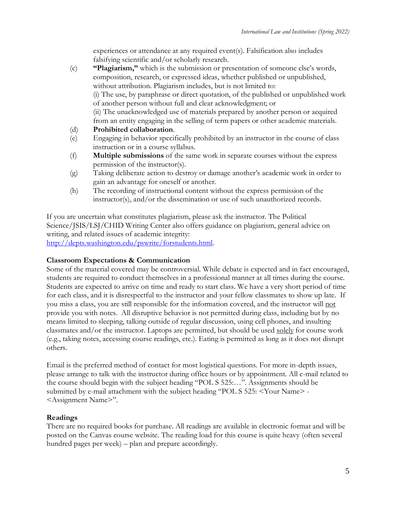experiences or attendance at any required event(s). Falsification also includes falsifying scientific and/or scholarly research.

- (c) **"Plagiarism,"** which is the submission or presentation of someone else's words, composition, research, or expressed ideas, whether published or unpublished, without attribution. Plagiarism includes, but is not limited to: (i) The use, by paraphrase or direct quotation, of the published or unpublished work of another person without full and clear acknowledgment; or (ii) The unacknowledged use of materials prepared by another person or acquired from an entity engaging in the selling of term papers or other academic materials.
- (d) **Prohibited collaboration**.
- (e) Engaging in behavior specifically prohibited by an instructor in the course of class instruction or in a course syllabus.
- (f) **Multiple submissions** of the same work in separate courses without the express permission of the instructor(s).
- (g) Taking deliberate action to destroy or damage another's academic work in order to gain an advantage for oneself or another.
- (h) The recording of instructional content without the express permission of the instructor(s), and/or the dissemination or use of such unauthorized records.

If you are uncertain what constitutes plagiarism, please ask the instructor. The Political Science/JSIS/LSJ/CHID Writing Center also offers guidance on plagiarism, general advice on writing, and related issues of academic integrity: [http://depts.washington.edu/pswrite/forstudents.html.](http://depts.washington.edu/pswrite/forstudents.html)

# **Classroom Expectations & Communication**

Some of the material covered may be controversial. While debate is expected and in fact encouraged, students are required to conduct themselves in a professional manner at all times during the course. Students are expected to arrive on time and ready to start class. We have a very short period of time for each class, and it is disrespectful to the instructor and your fellow classmates to show up late. If you miss a class, you are still responsible for the information covered, and the instructor will not provide you with notes. All disruptive behavior is not permitted during class, including but by no means limited to sleeping, talking outside of regular discussion, using cell phones, and insulting classmates and/or the instructor. Laptops are permitted, but should be used solely for course work (e.g., taking notes, accessing course readings, etc.). Eating is permitted as long as it does not disrupt others.

Email is the preferred method of contact for most logistical questions. For more in-depth issues, please arrange to talk with the instructor during office hours or by appointment. All e-mail related to the course should begin with the subject heading "POL S 525:…". Assignments should be submitted by e-mail attachment with the subject heading "POL S 525: <Your Name> - <Assignment Name>".

# **Readings**

There are no required books for purchase. All readings are available in electronic format and will be posted on the Canvas course website. The reading load for this course is quite heavy (often several hundred pages per week) – plan and prepare accordingly.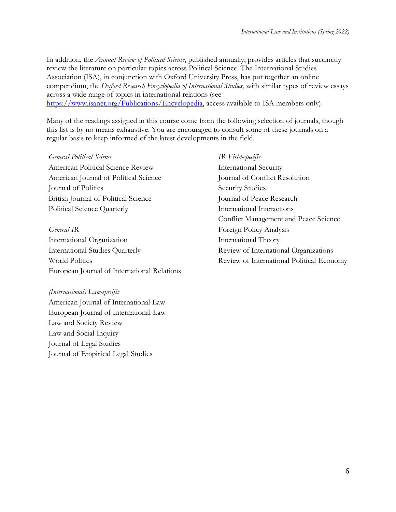In addition, the *Annual Review of Political Science*, published annually, provides articles that succinctly review the literature on particular topics across Political Science. The International Studies Association (ISA), in conjunction with Oxford University Press, has put together an online compendium, the *Oxford Research Encyclopedia of International Studies*, with similar types of review essays across a wide range of topics in international relations (see [https://www.isanet.org/Publications/Encyclopedia,](https://www.isanet.org/Publications/Encyclopedia) access available to ISA members only).

Many of the readings assigned in this course come from the following selection of journals, though this list is by no means exhaustive. You are encouraged to consult some of these journals on a regular basis to keep informed of the latest developments in the field.

## *General Political Science IR Field-specific*

American Political Science Review International Security American Journal of Political Science Journal of Conflict Resolution Journal of Politics Security Studies British Journal of Political Science Journal of Peace Research Political Science Quarterly International Interactions

International Organization **International Theory** International Studies Quarterly Review of International Organizations World Politics Review of International Political Economy European Journal of International Relations

# *(International) Law-specific*

American Journal of International Law European Journal of International Law Law and Society Review Law and Social Inquiry Journal of Legal Studies Journal of Empirical Legal Studies

# Conflict Management and Peace Science *General IR* Foreign Policy Analysis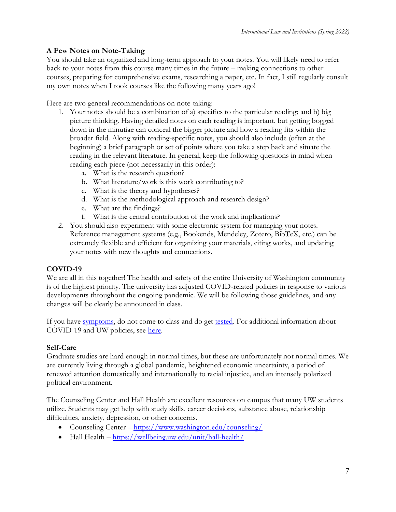# **A Few Notes on Note-Taking**

You should take an organized and long-term approach to your notes. You will likely need to refer back to your notes from this course many times in the future – making connections to other courses, preparing for comprehensive exams, researching a paper, etc. In fact, I still regularly consult my own notes when I took courses like the following many years ago!

Here are two general recommendations on note-taking:

- 1. Your notes should be a combination of a) specifics to the particular reading; and b) big picture thinking. Having detailed notes on each reading is important, but getting bogged down in the minutiae can conceal the bigger picture and how a reading fits within the broader field. Along with reading-specific notes, you should also include (often at the beginning) a brief paragraph or set of points where you take a step back and situate the reading in the relevant literature. In general, keep the following questions in mind when reading each piece (not necessarily in this order):
	- a. What is the research question?
	- b. What literature/work is this work contributing to?
	- c. What is the theory and hypotheses?
	- d. What is the methodological approach and research design?
	- e. What are the findings?
	- f. What is the central contribution of the work and implications?
- 2. You should also experiment with some electronic system for managing your notes. Reference management systems (e.g., Bookends, Mendeley, Zotero, BibTeX, etc.) can be extremely flexible and efficient for organizing your materials, citing works, and updating your notes with new thoughts and connections.

# **COVID-19**

We are all in this together! The health and safety of the entire University of Washington community is of the highest priority. The university has adjusted COVID-related policies in response to various developments throughout the ongoing pandemic. We will be following those guidelines, and any changes will be clearly be announced in class.

If you have [symptoms,](https://coronavirus.uwhealth.org/symptoms-and-care/) do not come to class and do get [tested.](https://www.washington.edu/coronavirus/testing/) For additional information about COVID-19 and UW policies, see [here.](https://www.washington.edu/coronavirus/)

# **Self-Care**

Graduate studies are hard enough in normal times, but these are unfortunately not normal times. We are currently living through a global pandemic, heightened economic uncertainty, a period of renewed attention domestically and internationally to racial injustice, and an intensely polarized political environment.

The Counseling Center and Hall Health are excellent resources on campus that many UW students utilize. Students may get help with study skills, career decisions, substance abuse, relationship difficulties, anxiety, depression, or other concerns.

- Counseling Center <https://www.washington.edu/counseling/>
- Hall Health  $-\frac{https://wellbeing.uw.edu/unit/hall-health/}{$  $-\frac{https://wellbeing.uw.edu/unit/hall-health/}{$  $-\frac{https://wellbeing.uw.edu/unit/hall-health/}{$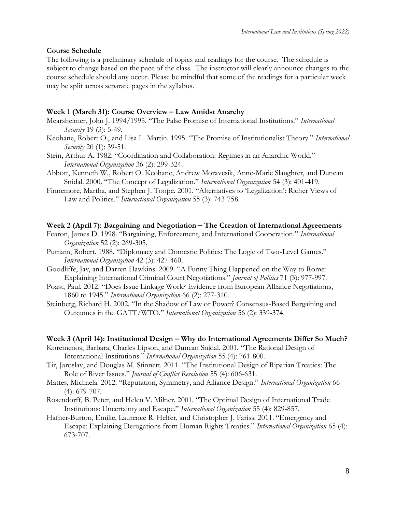#### **Course Schedule**

The following is a preliminary schedule of topics and readings for the course. The schedule is subject to change based on the pace of the class. The instructor will clearly announce changes to the course schedule should any occur. Please be mindful that some of the readings for a particular week may be split across separate pages in the syllabus.

#### **Week 1 (March 31): Course Overview – Law Amidst Anarchy**

- Mearsheimer, John J. 1994/1995. "The False Promise of International Institutions." *International Security* 19 (3): 5-49.
- Keohane, Robert O., and Lisa L. Martin. 1995. "The Promise of Institutionalist Theory." *International Security* 20 (1): 39-51.
- Stein, Arthur A. 1982. "Coordination and Collaboration: Regimes in an Anarchic World." *International Organization* 36 (2): 299-324.
- Abbott, Kenneth W., Robert O. Keohane, Andrew Moravcsik, Anne-Marie Slaughter, and Duncan Snidal. 2000. "The Concept of Legalization." *International Organization* 54 (3): 401-419.
- Finnemore, Martha, and Stephen J. Toope. 2001. "Alternatives to 'Legalization': Richer Views of Law and Politics." *International Organization* 55 (3): 743-758.

#### **Week 2 (April 7): Bargaining and Negotiation – The Creation of International Agreements**

- Fearon, James D. 1998. "Bargaining, Enforcement, and International Cooperation." *International Organization* 52 (2): 269-305.
- Putnam, Robert. 1988. "Diplomacy and Domestic Politics: The Logic of Two-Level Games." *International Organization* 42 (3): 427-460.
- Goodliffe, Jay, and Darren Hawkins. 2009. "A Funny Thing Happened on the Way to Rome: Explaining International Criminal Court Negotiations." *Journal of Politics* 71 (3): 977-997.
- Poast, Paul. 2012. "Does Issue Linkage Work? Evidence from European Alliance Negotiations, 1860 to 1945." *International Organization* 66 (2): 277-310.
- Steinberg, Richard H. 2002. "In the Shadow of Law or Power? Consensus-Based Bargaining and Outcomes in the GATT/WTO." *International Organization* 56 (2): 339-374.

#### **Week 3 (April 14): Institutional Design – Why do International Agreements Differ So Much?**

- Koremenos, Barbara, Charles Lipson, and Duncan Snidal. 2001. "The Rational Design of International Institutions." *International Organization* 55 (4): 761-800.
- Tir, Jaroslav, and Douglas M. Stinnett. 2011. "The Institutional Design of Riparian Treaties: The Role of River Issues." *Journal of Conflict Resolution* 55 (4): 606-631.
- Mattes, Michaela. 2012. "Reputation, Symmetry, and Alliance Design." *International Organization* 66 (4): 679-707.
- Rosendorff, B. Peter, and Helen V. Milner. 2001. "The Optimal Design of International Trade Institutions: Uncertainty and Escape." *International Organization* 55 (4): 829-857.
- Hafner-Burton, Emilie, Laurence R. Helfer, and Christopher J. Fariss. 2011. "Emergency and Escape: Explaining Derogations from Human Rights Treaties." *International Organization* 65 (4): 673-707.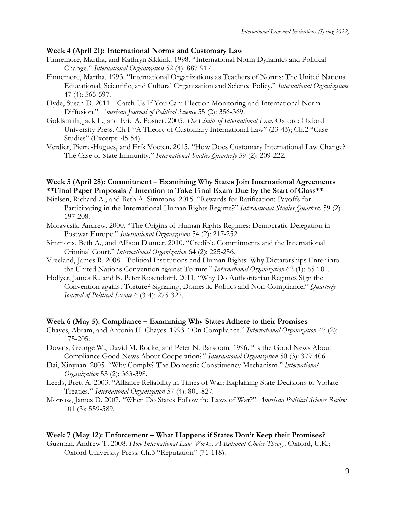#### **Week 4 (April 21): International Norms and Customary Law**

- Finnemore, Martha, and Kathryn Sikkink. 1998. "International Norm Dynamics and Political Change." *International Organization* 52 (4): 887-917.
- Finnemore, Martha. 1993. "International Organizations as Teachers of Norms: The United Nations Educational, Scientific, and Cultural Organization and Science Policy." *International Organization* 47 (4): 565-597.
- Hyde, Susan D. 2011. "Catch Us If You Can: Election Monitoring and International Norm Diffusion." *American Journal of Political Science* 55 (2): 356-369.
- Goldsmith, Jack L., and Eric A. Posner. 2005. *The Limits of International Law*. Oxford: Oxford University Press. Ch.1 "A Theory of Customary International Law" (23-43); Ch.2 "Case Studies" (Excerpt: 45-54).
- Verdier, Pierre-Hugues, and Erik Voeten. 2015. "How Does Customary International Law Change? The Case of State Immunity." *International Studies Quarterly* 59 (2): 209-222.

# **Week 5 (April 28): Commitment – Examining Why States Join International Agreements \*\*Final Paper Proposals / Intention to Take Final Exam Due by the Start of Class\*\***

- Nielsen, Richard A., and Beth A. Simmons. 2015. "Rewards for Ratification: Payoffs for Participating in the International Human Rights Regime?" *International Studies Quarterly* 59 (2): 197-208.
- Moravcsik, Andrew. 2000. "The Origins of Human Rights Regimes: Democratic Delegation in Postwar Europe." *International Organization* 54 (2): 217-252.
- Simmons, Beth A., and Allison Danner. 2010. "Credible Commitments and the International Criminal Court." *International Organization* 64 (2): 225-256.
- Vreeland, James R. 2008. "Political Institutions and Human Rights: Why Dictatorships Enter into the United Nations Convention against Torture." *International Organization* 62 (1): 65-101.
- Hollyer, James R., and B. Peter Rosendorff. 2011. "Why Do Authoritarian Regimes Sign the Convention against Torture? Signaling, Domestic Politics and Non-Compliance." *Quarterly Journal of Political Science* 6 (3-4): 275-327.

#### **Week 6 (May 5): Compliance – Examining Why States Adhere to their Promises**

- Chayes, Abram, and Antonia H. Chayes. 1993. "On Compliance." *International Organization* 47 (2): 175-205.
- Downs, George W., David M. Rocke, and Peter N. Barsoom. 1996. "Is the Good News About Compliance Good News About Cooperation?" *International Organization* 50 (3): 379-406.
- Dai, Xinyuan. 2005. "Why Comply? The Domestic Constituency Mechanism." *International Organization* 53 (2): 363-398.
- Leeds, Brett A. 2003. "Alliance Reliability in Times of War: Explaining State Decisions to Violate Treaties." *International Organization* 57 (4): 801-827.
- Morrow, James D. 2007. "When Do States Follow the Laws of War?" *American Political Science Review* 101 (3): 559-589.

#### **Week 7 (May 12): Enforcement – What Happens if States Don't Keep their Promises?**

Guzman, Andrew T. 2008. *How International Law Works: A Rational Choice Theory*. Oxford, U.K.: Oxford University Press. Ch.3 "Reputation" (71-118).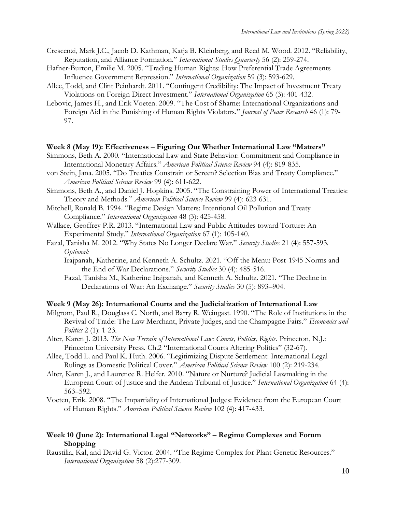- Crescenzi, Mark J.C., Jacob D. Kathman, Katja B. Kleinberg, and Reed M. Wood. 2012. "Reliability, Reputation, and Alliance Formation." *International Studies Quarterly* 56 (2): 259-274.
- Hafner-Burton, Emilie M. 2005. "Trading Human Rights: How Preferential Trade Agreements Influence Government Repression." *International Organization* 59 (3): 593-629.
- Allee, Todd, and Clint Peinhardt. 2011. "Contingent Credibility: The Impact of Investment Treaty Violations on Foreign Direct Investment." *International Organization* 65 (3): 401-432.
- Lebovic, James H., and Erik Voeten. 2009. "The Cost of Shame: International Organizations and Foreign Aid in the Punishing of Human Rights Violators." *Journal of Peace Research* 46 (1): 79- 97.

#### **Week 8 (May 19): Effectiveness – Figuring Out Whether International Law "Matters"**

- Simmons, Beth A. 2000. "International Law and State Behavior: Commitment and Compliance in International Monetary Affairs." *American Political Science Review* 94 (4): 819-835.
- von Stein, Jana. 2005. "Do Treaties Constrain or Screen? Selection Bias and Treaty Compliance." *American Political Science Review* 99 (4): 611-622.
- Simmons, Beth A., and Daniel J. Hopkins. 2005. "The Constraining Power of International Treaties: Theory and Methods." *American Political Science Review* 99 (4): 623-631.
- Mitchell, Ronald B. 1994. "Regime Design Matters: Intentional Oil Pollution and Treaty Compliance." *International Organization* 48 (3): 425-458.
- Wallace, Geoffrey P.R. 2013. "International Law and Public Attitudes toward Torture: An Experimental Study." *International Organization* 67 (1): 105-140.
- Fazal, Tanisha M. 2012. "Why States No Longer Declare War." *Security Studies* 21 (4): 557-593. *Optional:* 
	- Irajpanah, Katherine, and Kenneth A. Schultz. 2021. "Off the Menu: Post-1945 Norms and the End of War Declarations." *Security Studies* 30 (4): 485-516.
	- Fazal, Tanisha M., Katherine Irajpanah, and Kenneth A. Schultz. 2021. "The Decline in Declarations of War: An Exchange." *Security Studies* 30 (5): 893–904.

#### **Week 9 (May 26): International Courts and the Judicialization of International Law**

- Milgrom, Paul R., Douglass C. North, and Barry R. Weingast. 1990. "The Role of Institutions in the Revival of Trade: The Law Merchant, Private Judges, and the Champagne Fairs." *Economics and Politics* 2 (1): 1-23.
- Alter, Karen J. 2013. *The New Terrain of International Law: Courts, Politics, Rights*. Princeton, N.J.: Princeton University Press. Ch.2 "International Courts Altering Politics" (32-67).
- Allee, Todd L. and Paul K. Huth. 2006. "Legitimizing Dispute Settlement: International Legal Rulings as Domestic Political Cover." *American Political Science Review* 100 (2): 219-234.
- Alter, Karen J., and Laurence R. Helfer. 2010. "Nature or Nurture? Judicial Lawmaking in the European Court of Justice and the Andean Tribunal of Justice." *International Organization* 64 (4): 563–592.
- Voeten, Erik. 2008. "The Impartiality of International Judges: Evidence from the European Court of Human Rights." *American Political Science Review* 102 (4): 417-433.

#### **Week 10 (June 2): International Legal "Networks" – Regime Complexes and Forum Shopping**

Raustilia, Kal, and David G. Victor. 2004. "The Regime Complex for Plant Genetic Resources." *International Organization* 58 (2):277-309.